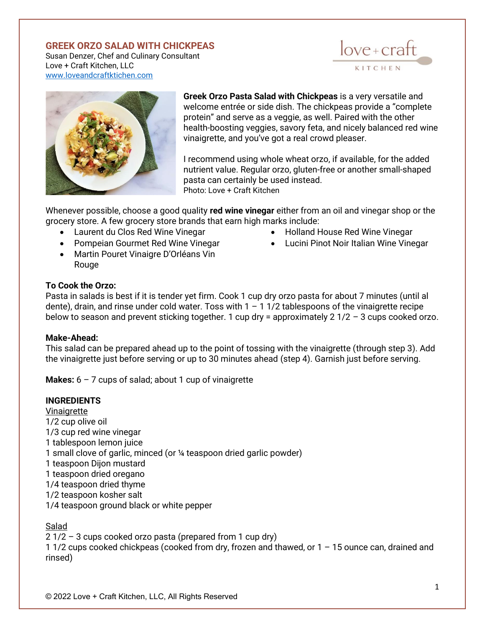# **GREEK ORZO SALAD WITH CHICKPEAS**

Susan Denzer, Chef and Culinary Consultant Love + Craft Kitchen, LLC [www.loveandcraftktichen.com](http://www.loveandcraftktichen.com/)





**Greek Orzo Pasta Salad with Chickpeas** is a very versatile and welcome entrée or side dish. The chickpeas provide a "complete protein" and serve as a veggie, as well. Paired with the other health-boosting veggies, savory feta, and nicely balanced red wine vinaigrette, and you've got a real crowd pleaser.

I recommend using whole wheat orzo, if available, for the added nutrient value. Regular orzo, gluten-free or another small-shaped pasta can certainly be used instead. Photo: Love + Craft Kitchen

Whenever possible, choose a good quality **red wine vinegar** either from an oil and vinegar shop or the grocery store. A few grocery store brands that earn high marks include:

- Laurent du Clos Red Wine Vinegar
- Pompeian Gourmet Red Wine Vinegar
- Martin Pouret Vinaigre D'Orléans Vin Rouge
- Holland House Red Wine Vinegar
- Lucini Pinot Noir Italian Wine Vinegar

### **To Cook the Orzo:**

Pasta in salads is best if it is tender yet firm. Cook 1 cup dry orzo pasta for about 7 minutes (until al dente), drain, and rinse under cold water. Toss with  $1 - 11/2$  tablespoons of the vinaigrette recipe below to season and prevent sticking together. 1 cup dry = approximately  $2 \frac{1}{2} - 3$  cups cooked orzo.

#### **Make-Ahead:**

This salad can be prepared ahead up to the point of tossing with the vinaigrette (through step 3). Add the vinaigrette just before serving or up to 30 minutes ahead (step 4). Garnish just before serving.

**Makes:** 6 – 7 cups of salad; about 1 cup of vinaigrette

#### **INGREDIENTS**

Vinaigrette 1/2 cup olive oil 1/3 cup red wine vinegar 1 tablespoon lemon juice 1 small clove of garlic, minced (or ¼ teaspoon dried garlic powder) 1 teaspoon Dijon mustard 1 teaspoon dried oregano 1/4 teaspoon dried thyme 1/2 teaspoon kosher salt 1/4 teaspoon ground black or white pepper

### Salad

2 1/2 – 3 cups cooked orzo pasta (prepared from 1 cup dry) 1 1/2 cups cooked chickpeas (cooked from dry, frozen and thawed, or 1 – 15 ounce can, drained and rinsed)